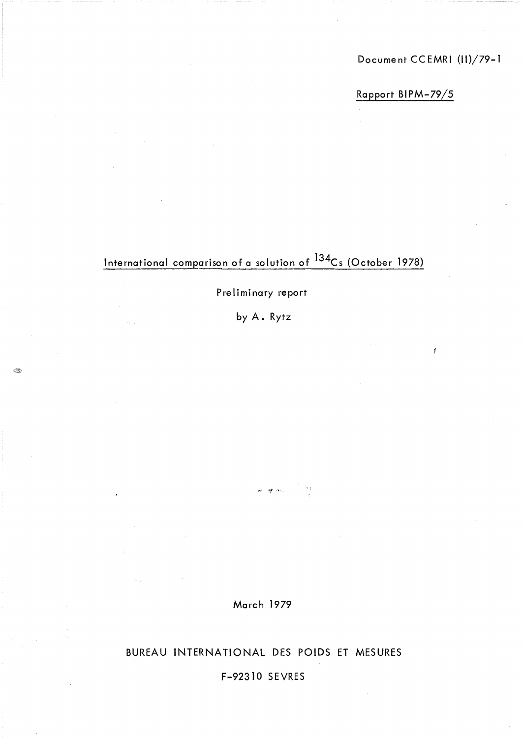Document CCEMRI (II)/79-1

ý

Rapport BIPM-79/5

## International comparison of a solution of 134Cs (October 1978)

#### Preliminary report

byA.Rytz

E.

March 1979

or in ...

BUREAU INTERNATIONAL DES POIDS ET MESURES

F-92310 SEVRES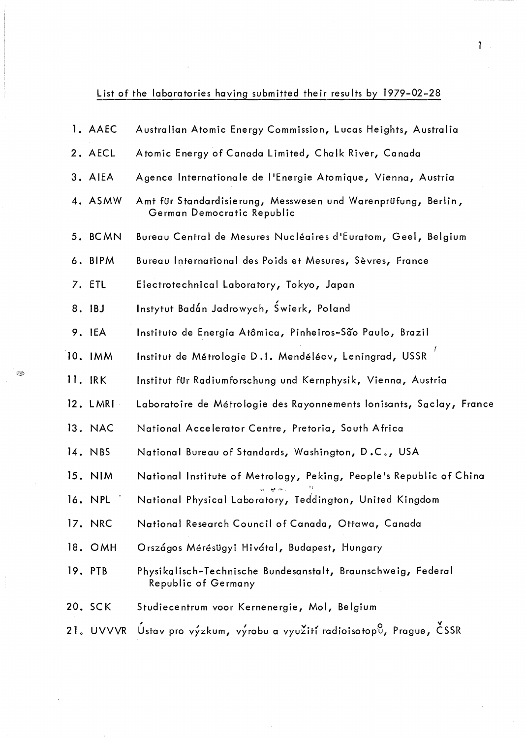List of the laboratories having submitted their results by 1979-02-28

 $\overline{\phantom{a}}$ 

◈

| 1. AAEC    | Australian Atomic Energy Commission, Lucas Heights, Australia                               |
|------------|---------------------------------------------------------------------------------------------|
| 2. AECL    | Atomic Energy of Canada Limited, Chalk River, Canada                                        |
| 3. AIEA    | Agence Internationale de l'Energie Atomique, Vienna, Austria                                |
| 4. ASMW    | Amt für Standardisierung, Messwesen und Warenprüfung, Berlin,<br>German Democratic Republic |
| 5. BCMN    | Bureau Central de Mesures Nucléaires d'Euratom, Geel, Belgium                               |
| 6. BIPM    | Bureau International des Poids et Mesures, Sèvres, France                                   |
| 7. ETL     | Electrotechnical Laboratory, Tokyo, Japan                                                   |
| 8. IBJ     | Instytut Badán Jadrowych, Świerk, Poland                                                    |
| 9. IEA     | Instituto de Energia Atômica, Pinheiros-São Paulo, Brazil                                   |
| 10. IMM    | Institut de Métrologie D.1. Mendéléev, Leningrad, USSR                                      |
| 11. IRK    | Institut für Radiumforschung und Kernphysik, Vienna, Austria                                |
| $12.$ LMRI | Laboratoire de Métrologie des Rayonnements lonisants, Saclay, France                        |
| 13. NAC    | National Accelerator Centre, Pretoria, South Africa                                         |
| 14. NBS    | National Bureau of Standards, Washington, D.C., USA                                         |
| $15.$ NIM  | National Institute of Metrology, Peking, People's Republic of China                         |
| 16. NPL    | National Physical Laboratory, Teddington, United Kingdom                                    |
| 17. NRC    | National Research Council of Canada, Ottawa, Canada                                         |
| 18. OMH    | Országos Mérésügyi Hivátal, Budapest, Hungary                                               |
| 19. PTB    | Physikalisch-Technische Bundesanstalt, Braunschweig, Federal<br>Republic of Germany         |
| 20. SCK    | Studiecentrum voor Kernenergie, Mol, Belgium                                                |
|            | 21. UVVVR Ústav pro výzkum, výrobu a využití radioisotopů, Prague, ČSSR                     |

 $\hat{\lambda}$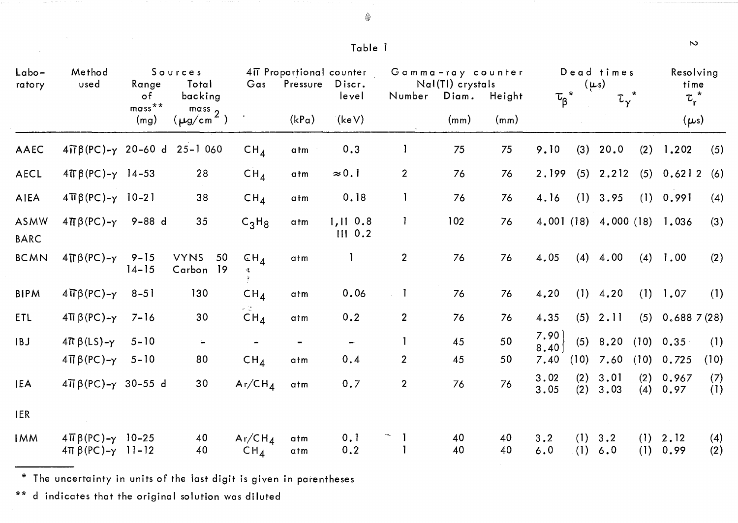$\bigcircledast$ 

| $L$ abo-<br>ratory         | Method<br>used                                                       | Range<br>$\circ$ f    | Sources<br>Total<br>backing    | Gas                          | Pressure   | 417 Proportional counter<br>Discr.<br>level | Number         | Gamma-ray counter<br>Nal(TI) crystals<br>Diam. | Height   | $\tau_{\beta}^*$ |            | Dead times<br>$(\mu s)$<br>$\tau_{\gamma}^*$ |            | time<br>$\tau_r^*$          | Resolving  |
|----------------------------|----------------------------------------------------------------------|-----------------------|--------------------------------|------------------------------|------------|---------------------------------------------|----------------|------------------------------------------------|----------|------------------|------------|----------------------------------------------|------------|-----------------------------|------------|
|                            |                                                                      | $mass$ **<br>(mg)     | $\frac{mass}{(\mu g/cm^2)}$    |                              | (kPa)      | $\lambda$ (keV)                             |                | (mm)                                           | (mm)     |                  |            |                                              |            | $(\mu s)$                   |            |
| AAEC                       | $4\pi\beta$ (PC)- $\gamma$ 20-60 d                                   |                       | $25 - 1060$                    | $CH_{4}$                     | atm        | 0.3                                         | $\mathbf{1}$   | 75                                             | 75       | 9.10             | (3)        | 20.0                                         | (2)        | 1,202                       | (5)        |
| AECL                       | $4\pi\beta$ (PC)- $\gamma$ 14-53                                     |                       | 28                             | CH <sub>4</sub>              | atm        | $\approx 0.1$                               | $\overline{2}$ | 76                                             | 76       | 2.199            | (5)        | 2.212                                        | (5)        | 0.6212                      | (6)        |
| <b>AIEA</b>                | $4\pi\beta$ (PC)- $\gamma$ 10-21                                     |                       | 38                             | CH <sub>4</sub>              | atm        | 0.18                                        |                | 76                                             | 76       | 4.16             |            | (1) 3.95                                     | (1)        | 0.991                       | (4)        |
| <b>ASMW</b><br><b>BARC</b> | $4\pi\beta$ (PC)- $\gamma$                                           | $9 - 88 d$            | 35                             | $C_3H_8$                     | atm        | 1,110.8<br>$III$ 0.2                        | L              | 102                                            | 76       |                  |            |                                              |            | 4.001 (18) 4.000 (18) 1.036 | (3)        |
| <b>BCMN</b>                | $4\pi\beta$ (PC)- $\gamma$                                           | $9 - 15$<br>$14 - 15$ | <b>VYNS</b><br>50<br>Carbon 19 | CH <sub>4</sub><br>缘。        | atm        | Ĩ                                           | $\overline{2}$ | 76                                             | 76       | 4.05             | (4)        | 4.00                                         | (4)        | 1.00                        | (2)        |
| <b>BIPM</b>                | $4\pi\beta$ (PC)- $\gamma$                                           | $8 - 51$              | 130                            | CH <sub>4</sub>              | atm        | 0.06                                        | $\mathbf{1}$   | 76                                             | 76       | 4.20             | (1)        | 4.20                                         | (1)        | 1.07                        | (1)        |
| ETL                        | $4\pi \beta$ (PC)- $\gamma$                                          | $7 - 16$              | 30                             | CH <sub>4</sub>              | atm        | 0.2                                         | $\mathbf{2}$   | 76                                             | 76       | 4.35             |            | (5) 2.11                                     |            | $(5)$ 0.688 7 (28)          |            |
| IBJ                        | $4\pi \beta(LS) - \gamma$                                            | $5 - 10$              |                                |                              |            |                                             |                | 45                                             | 50       | 7.90<br>8.40     | (5)        | 8,20                                         |            | $(10)$ 0.35                 | (1)        |
|                            | $4\pi\beta$ (PC)- $\gamma$                                           | $5 - 10$              | 80                             | CH <sub>4</sub>              | atm        | 0.4                                         | $\overline{2}$ | 45                                             | 50       | 7.40             | (10)       | 7.60                                         | (10)       | 0.725                       | (10)       |
| <b>IEA</b>                 | $4\overline{11}\beta$ (PC)- $\gamma$ 30-55 d                         |                       | 30                             | Ar/CH <sub>4</sub>           | atm        | 0.7                                         | $\overline{2}$ | 76                                             | 76       | 3.02<br>3.05     | (2)<br>(2) | 3.01<br>3.03                                 | (2)<br>(4) | 0.967<br>0.97               | (7)<br>(1) |
| <b>IER</b>                 |                                                                      |                       |                                |                              |            |                                             |                |                                                |          |                  |            |                                              |            |                             |            |
| <b>IMM</b>                 | $4\pi\beta$ (PC)- $\gamma$ 10-25<br>$4\pi \beta (PC) - \gamma$ 11-12 |                       | 40<br>40                       | $Ar/CH_4$<br>CH <sub>4</sub> | atm<br>atm | 0, 1<br>0.2                                 |                | 40<br>40                                       | 40<br>40 | 3.2<br>6.0       | (1)<br>(1) | 3.2<br>6.0                                   | (1)<br>(1) | 2.12<br>0.99                | (4)<br>(2) |

\* The uncertainty in units of the last digit is given in parentheses

\*\* d indicates that the original solution was diluted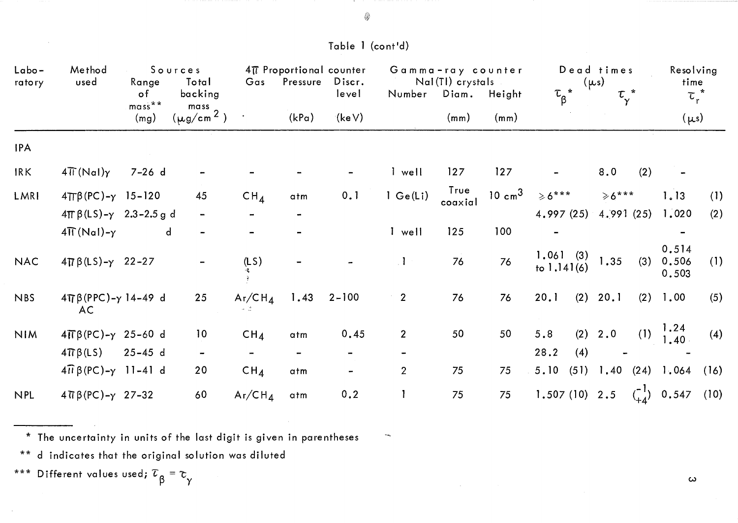| Labo-<br>ratory | Method<br>used                         | Range                          | Sources<br>Total                       | Gas             | 4TT Proportional counter<br>Pressure | Discr.         |                                                                                                                                                   | Gamma-ray counter<br>Nal(TI) crystals |                   |                           | Dead times<br>$(\mu s)$ | Resolving<br>time              |
|-----------------|----------------------------------------|--------------------------------|----------------------------------------|-----------------|--------------------------------------|----------------|---------------------------------------------------------------------------------------------------------------------------------------------------|---------------------------------------|-------------------|---------------------------|-------------------------|--------------------------------|
|                 |                                        | $\circ$ f<br>$mass***$<br>(mg) | backing<br>$\frac{mass}{(\mu g/cm^2)}$ |                 | (kPa)                                | level<br>(keV) |                                                                                                                                                   | Number Diam. Height<br>(mm)           | (mm)              | $\tau_{\beta}$ *          | $\tau_{\gamma}^*$       | $\tau_r^*$<br>$(\mu s)$        |
| <b>IPA</b>      |                                        |                                |                                        |                 |                                      |                |                                                                                                                                                   |                                       |                   |                           |                         |                                |
| <b>IRK</b>      | $4\pi$ (Nal) $\gamma$                  | $7 - 26$ d                     |                                        |                 |                                      |                | I well                                                                                                                                            | 127                                   | 127               |                           | 8.0<br>(2)              |                                |
| LMRI            | $4\pi\beta$ (PC)- $\gamma$ 15-120      |                                | 45                                     | CH <sub>4</sub> | atm                                  | 0.1            | 1 Ge(Li)                                                                                                                                          | True<br>coaxial                       | $10 \text{ cm}^3$ | $\ge 6$ ***               | $\ge 6$ ***             | 1.13<br>(1)                    |
|                 | $4\pi \beta (LS) - \gamma$ 2.3-2.5 g d |                                |                                        |                 |                                      |                |                                                                                                                                                   |                                       |                   | 4.997(25)                 | 4.991(25)               | 1,020<br>(2)                   |
|                 | $4\pi(Nal)-\gamma$                     | $\mathsf{d}$                   |                                        |                 |                                      |                | I well                                                                                                                                            | 125                                   | 100               |                           |                         |                                |
| <b>NAC</b>      | $4 \pi \beta (LS) - \gamma$ 22-27      |                                |                                        | (LS)            |                                      |                | $\cdot$ 1                                                                                                                                         | 76                                    | 76                | 1.061(3)<br>to $1.141(6)$ | 1.35<br>(3)             | 0.514<br>0.506<br>(1)<br>0.503 |
| <b>NBS</b>      | $4\pi\beta(PPC)-\gamma$ 14-49 d<br>AC. |                                | 25                                     | $Ar/CH_4$       | 1.43                                 | $2 - 100$      | $\overline{2}$                                                                                                                                    | 76                                    | 76                | (2)<br>20.1               | 20.1<br>(2)             | (5)<br>1.00                    |
| <b>NIM</b>      | $4\pi\beta$ (PC)- $\gamma$ 25-60 d     |                                | 10                                     | CH <sub>4</sub> | atm                                  | 0.45           | $2^{\circ}$                                                                                                                                       | 50                                    | 50                | 5.8                       | (2) 2.0                 | (1) $\frac{1.24}{1.40}$<br>(4) |
|                 | $4\pi\beta(LS)$                        | $25 - 45 d$                    |                                        | ÷               |                                      | $\blacksquare$ | $\hskip1.6pt\hskip1.6pt\hskip1.6pt\hskip1.6pt\hskip1.6pt\hskip1.6pt\hskip1.6pt\hskip1.6pt\hskip1.6pt\hskip1.6pt\hskip1.6pt\hskip1.6pt\hskip1.6pt$ |                                       |                   | 28.2<br>(4)               |                         |                                |
|                 | $4\pi \beta (PC) - \gamma$ 11-41 d     |                                | 20                                     | CH <sub>4</sub> | atm                                  |                | $\overline{2}$                                                                                                                                    | 75                                    | 75                | 5.10<br>(51)              | 1.40(24)1.064           | (16)                           |
| <b>NPL</b>      | $4 \pi \beta (PC) - \gamma 27 - 32$    |                                | 60                                     | $Ar/CH_4$       | atm                                  | 0.2            |                                                                                                                                                   | 75                                    | 75                | $1.507(10)$ 2.5           |                         | $\binom{-1}{+4}$ 0.547 (10)    |

\* The uncertainty in units of the last digit is given in parentheses

\*\* d indicates that the original solution was diluted

\*\*\* Different values used;  $\tau_{\beta}^{}$  =  $\tau_{\gamma}^{}$ 

w

#### @

#### Table 1 (cont'd)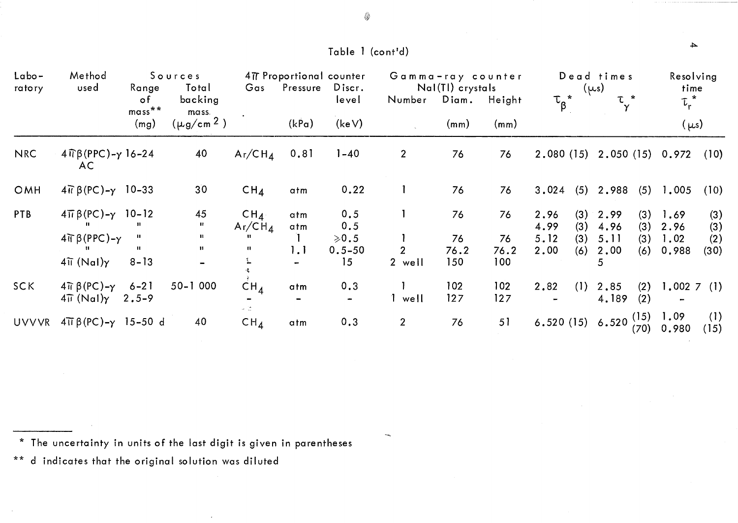| Labo-<br>ratory | Method<br>used                                                | Range<br>o f                 | Sources<br>Total<br>backing         | Gas                 | 477 Proportional counter<br>Pressure | Discr.<br>level         | Gamma-ray counter<br>Number | Nal(Tl) crystals<br>Diam. | Height     | $\tau_{\beta}^{\;\;\ast}$ |            | Dead times<br>$(\mu s)$<br><b>T</b> * |            | Resolving<br>time<br>$\tau_r^*$ |             |
|-----------------|---------------------------------------------------------------|------------------------------|-------------------------------------|---------------------|--------------------------------------|-------------------------|-----------------------------|---------------------------|------------|---------------------------|------------|---------------------------------------|------------|---------------------------------|-------------|
|                 |                                                               | $mass$ **<br>(mg)            | mass.<br>$(\mu$ g/cm <sup>2</sup> ) |                     | (kPa)                                | (keV)                   |                             | (mm)                      | (mm)       |                           |            |                                       |            | $(\mu s)$                       |             |
| <b>NRC</b>      | $4 \widehat{\mathbb{q}}$ $\beta$ (PPC)- $\gamma$ 16-24<br>AC. |                              | 40                                  | $Ar/CH_4$           | 0.81                                 | $1 - 40$                | 2 <sup>1</sup>              | 76                        | 76         |                           |            | 2.080 (15) 2.050 (15) 0.972           |            |                                 | (10)        |
| OMH             | $4\pi \beta (PC) - \gamma$ 10-33                              |                              | 30 <sup>°</sup>                     | CH <sub>4</sub>     | atm                                  | 0.22                    |                             | 76                        | 76         | 3.024                     | (5)        | 2.988                                 | (5)        | 1,005                           | (10)        |
| PTB             | $4\pi \beta (PC) - \gamma$ 10-12                              |                              | 45<br>п.                            | $CH_4$<br>$Ar/CH_4$ | atm<br>atm                           | 0.5<br>0.5              |                             | 76                        | 76         | 2.96<br>4.99              | (3)<br>(3) | 2.99<br>4.96                          | (3)<br>(3) | 1.69<br>2.96                    | (3)<br>(3)  |
|                 | $4\pi\beta(PPC)-\gamma$                                       | $\mathbf{H}$<br>$\mathbf{H}$ | $\mathbf{u}$<br>$\mathbf{H}$        | -11<br>H.           | 1.1                                  | $\ge 0.5$<br>$0.5 - 50$ | 2 <sup>1</sup>              | 76<br>76.2                | 76<br>76.2 | 5.12<br>2.00              | (3)<br>(6) | 5.11<br>2,00                          | (3)<br>(6) | 1.02<br>0.988                   | (2)<br>(30) |
|                 | $4\tilde{\mathfrak{u}}$ (Nal) $\gamma$                        | $8 - 13$                     |                                     |                     |                                      | 15                      | 2 well                      | 150                       | 100        |                           |            | 5.                                    |            |                                 |             |
| SC K            | $4\pi \beta$ (PC)- $\gamma$<br>$4\overline{H}$ (NaI) $\gamma$ | $6 - 21$<br>$2.5 - 9$        | $50 - 1000$                         | $CH_{\Lambda}$      | atm                                  | 0.3<br>$\mathbf{r}$     | 1 well                      | 102<br>127                | 102<br>127 | 2.82                      | (1)        | 2.85<br>4.189                         | (2)<br>(2) | $1.002 \, 7 \, (1)$             |             |
| UVVVR           | $4\overline{11} \beta (PC) - \gamma$ 15-50 d                  |                              | 40                                  | $CH_{\Lambda}$      | atm                                  | 0.3                     | 2 <sup>1</sup>              | 76                        | 51         |                           |            | 6.520 (15) 6.520 $\binom{15}{12}$     | (70)       | 1.09<br>0.980                   | (1)<br>(15) |

\* The uncertainty in units of the last digit is given in parentheses

\*\* d indicates that the original solution was diluted

{p

Table 1 (cont'd)

 $\rightarrow$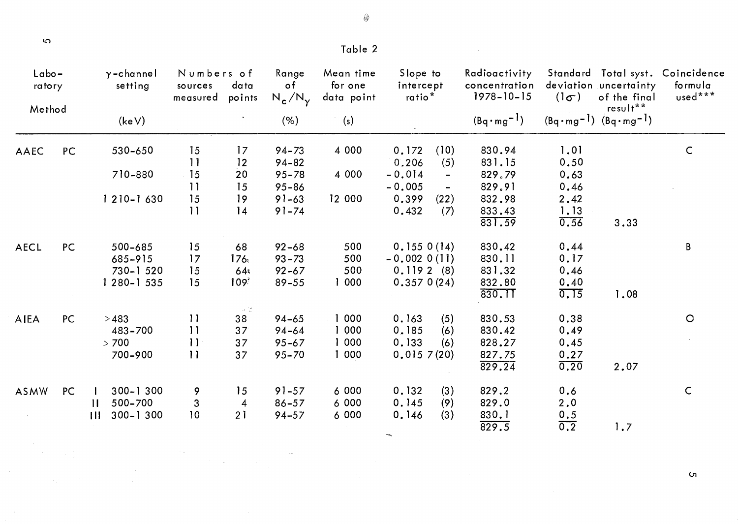$\sigma$ 

 $\sim 10^7$ 

| Table 2 |  |  |
|---------|--|--|
|         |  |  |

◈

|             | $L$ abo-<br>ratory<br>Method | $\gamma$ -channel<br>setting                         | Numbers of<br>sources<br>measured | data<br>points                           | Range<br>$\circ$ f<br>$N_c/N_v$                  | Mean time<br>for one<br>data point | Slope to<br>intercept<br>ratio <sup>*</sup>            |                                                          | Radioactivity<br>concentration<br>$1978 - 10 - 15$ | $(1\sigma)$                           | deviation uncertainty<br>of the final                   | Standard Total syst. Coincidence<br>formula<br>used*** |
|-------------|------------------------------|------------------------------------------------------|-----------------------------------|------------------------------------------|--------------------------------------------------|------------------------------------|--------------------------------------------------------|----------------------------------------------------------|----------------------------------------------------|---------------------------------------|---------------------------------------------------------|--------------------------------------------------------|
|             |                              | (keV)                                                |                                   |                                          | (% )                                             | (s)                                |                                                        |                                                          | $(Bq \cdot mg^{-1})$                               |                                       | $result**$<br>$(Bq \cdot mg^{-1})$ $(Bq \cdot mg^{-1})$ |                                                        |
| AAEC        | PC                           | 530-650                                              | 15<br>11                          | 17<br>12                                 | $94 - 73$<br>$94 - 82$                           | 4 0 0 0                            | 0.172<br>0.206                                         | (10)<br>(5)                                              | 830.94<br>831.15                                   | 1.01<br>0.50                          |                                                         | $\mathsf C$                                            |
|             |                              | 710-880                                              | 15<br>11                          | 20<br>15                                 | $95 - 78$<br>$95 - 86$                           | 4 0 0 0                            | $-0.014$<br>$-0.005$                                   | $\qquad \qquad \blacksquare$<br>$\overline{\phantom{a}}$ | 829.79<br>829.91                                   | 0.63<br>0.46                          |                                                         |                                                        |
|             |                              | $1210 - 1630$                                        | 15<br>11                          | 19<br>14                                 | $91 - 63$<br>$91 - 74$                           | 12 000                             | 0.399<br>0.432                                         | (22)<br>(7)                                              | 832.98<br>833.43<br>831.59                         | 2.42<br>1.13<br>0.56                  | 3.33                                                    |                                                        |
| <b>AECL</b> | PC                           | 500-685<br>685-915<br>730-1520<br>1 280-1 535        | 15<br>17<br>15<br>15              | 68<br>176.<br>64.<br>109 <sup>3</sup>    | $92 - 68$<br>$93 - 73$<br>$92 - 67$<br>$89 - 55$ | 500<br>500<br>500<br>1 000         | 0.1550(14)<br>$-0.0020(11)$<br>0.1192(8)<br>0.3570(24) |                                                          | 830.42<br>830.11<br>831.32<br>832.80<br>830.IT     | 0.44<br>0.17<br>0.46<br>0.40<br>0.15  | 1.08                                                    | B                                                      |
| AIEA        | PC                           | >483<br>483-700<br>> 700<br>700-900                  | 11<br>$\overline{11}$<br>11<br>11 | - 2<br>38<br>37 <sup>°</sup><br>37<br>37 | $94 - 65$<br>$94 - 64$<br>$95 - 67$<br>$95 - 70$ | 1 000<br>1 000<br>1 000<br>1000    | 0.163<br>0.185<br>0.133<br>0.0157(20)                  | (5)<br>(6)<br>(6)                                        | 830.53<br>830.42<br>828.27<br>827.75<br>829.24     | 0.38<br>0.49<br>0.45<br>0.27<br>0.20  | 2.07                                                    | $\circ$                                                |
| ASMW        | PC                           | 300-1300<br>500-700<br>$\mathbf{H}$<br>300-1300<br>Ш | 9<br>$\mathbf{3}$<br>10           | 15<br>$\overline{4}$<br>21               | $91 - 57$<br>$86 - 57$<br>$94 - 57$              | 6000<br>6000<br>6 000              | 0.132<br>0.145<br>0.146                                | (3)<br>(9)<br>(3)                                        | 829.2<br>829.0<br>830.1<br>829.5                   | 0.6<br>2.0<br>0.5<br>$\overline{0.2}$ | 1.7                                                     | $\mathsf{C}$                                           |

 $\label{eq:2.1} \frac{1}{\sqrt{2\pi}}\sum_{i=1}^n\frac{1}{\sqrt{2\pi}}\sum_{i=1}^n\frac{1}{\sqrt{2\pi}}\sum_{i=1}^n\frac{1}{\sqrt{2\pi}}\sum_{i=1}^n\frac{1}{\sqrt{2\pi}}\sum_{i=1}^n\frac{1}{\sqrt{2\pi}}\sum_{i=1}^n\frac{1}{\sqrt{2\pi}}\sum_{i=1}^n\frac{1}{\sqrt{2\pi}}\sum_{i=1}^n\frac{1}{\sqrt{2\pi}}\sum_{i=1}^n\frac{1}{\sqrt{2\pi}}\sum_{i=1}^n\$ 

 $\sigma$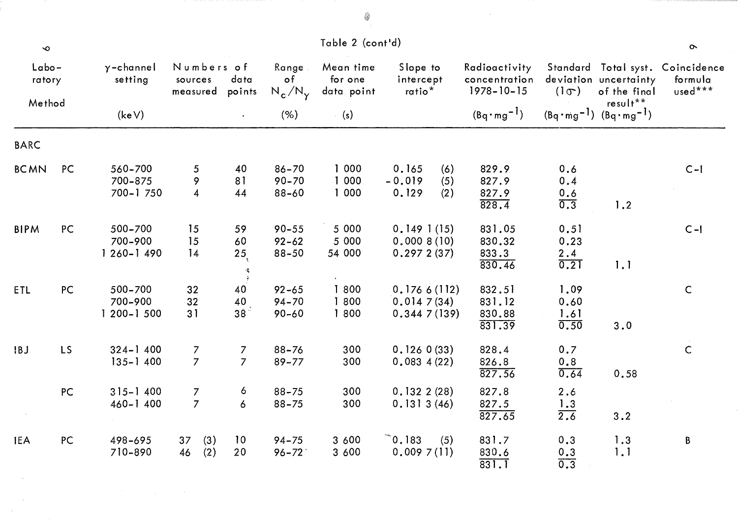| $\bullet$       |           |                                     |                                   |                                              |                                     | Table 2 (cont'd)                   |                                                 |                                                    |                                           |                                       | $\sim$                                                 |
|-----------------|-----------|-------------------------------------|-----------------------------------|----------------------------------------------|-------------------------------------|------------------------------------|-------------------------------------------------|----------------------------------------------------|-------------------------------------------|---------------------------------------|--------------------------------------------------------|
| Labo-<br>ratory |           | $\gamma$ -channel<br>setting        | Numbers of<br>sources<br>measured | data<br>points                               | Range<br>$\circ$ f<br>$N_c/N_v$     | Mean time<br>for one<br>data point | Slope to<br>intercept<br>ratio <sup>*</sup>     | Radioactivity<br>concentration<br>$1978 - 10 - 15$ | $(1\sigma)$                               | deviation uncertainty<br>of the final | Standard Total syst. Coincidence<br>formula<br>used*** |
| Method          |           | (keV)                               |                                   | $\bullet$                                    | (% )                                | (s)                                |                                                 | $(Bq \cdot mg^{-1})$                               | $(Bq \cdot mg^{-1})$ $(Bq \cdot mg^{-1})$ | result**                              |                                                        |
| <b>BARC</b>     |           |                                     |                                   |                                              |                                     |                                    |                                                 |                                                    |                                           |                                       |                                                        |
| <b>BCMN</b>     | PC        | 560-700<br>700-875<br>700-1750      | 5<br>9<br>$\overline{4}$          | 40<br>81<br>44                               | $86 - 70$<br>$90 - 70$<br>$88 - 60$ | 1000<br>1 000<br>1 000             | 0.165<br>(6)<br>$-0.019$<br>(5)<br>0.129<br>(2) | 829.9<br>827.9<br>827.9<br>828.4                   | 0.6<br>0.4<br>0.6<br>0.3                  | 1.2                                   | $C-I$                                                  |
| <b>BIPM</b>     | PC        | 500-700<br>700-900<br>$1260 - 1490$ | 15<br>15<br>14                    | 59<br>60<br>25 <sub>5</sub><br>$\mathcal{R}$ | $90 - 55$<br>$92 - 62$<br>$88 - 50$ | 5 000<br>5 000<br>54 000           | 0.1491(15)<br>0,0008(10)<br>0.2972(37)          | 831.05<br>830.32<br>833.3<br>830.46                | 0.51<br>0.23<br>2.4<br>0.21               | 1.1                                   | $C-I$                                                  |
| ETL             | PC        | 500-700<br>700-900<br>$1200 - 1500$ | 32<br>32<br>31                    | 40<br>40<br>38 <sup>2</sup>                  | $92 - 65$<br>$94 - 70$<br>$90 - 60$ | 1 800<br>1 800<br>1800             | 0.1766(112)<br>0.0147(34)<br>0.3447(139)        | 832.51<br>831.12<br>830.88<br>831.39               | 1.09<br>0.60<br>1.61<br>0.50              | 3.0                                   | $\mathsf C$                                            |
| IBJ             | <b>LS</b> | $324 - 1400$<br>$135 - 1400$        | $\overline{7}$<br>$\overline{7}$  | $\overline{7}$<br>$\overline{7}$             | $88 - 76$<br>$89 - 77$              | 300<br>300                         | 0.1260(33)<br>0.0834(22)                        | 828.4<br>826.8<br>827.56                           | 0.7<br>0.8<br>0.64                        | 0.58                                  | $\mathsf C$                                            |
|                 | PC        | $315 - 1400$<br>$460 - 1400$        | $\overline{7}$<br>$\overline{7}$  | 6<br>$\overline{6}$                          | $88 - 75$<br>$88 - 75$              | 300<br>300                         | 0.1322(28)<br>0.1313(46)                        | 827.8<br>827.5<br>827.65                           | 2.6<br>1.3<br>$\overline{2.6}$            | 3.2                                   |                                                        |
| <b>IEA</b>      | PC        | 498-695<br>710-890                  | (3)<br>37<br>46<br>(2)            | 10<br>20                                     | $94 - 75$<br>$96 - 72'$             | 3 600<br>3 600                     | $\degree$ 0.183<br>(5)<br>0.0097(11)            | 831.7<br>830.6<br>831.1                            | 0.3<br>$\frac{0.3}{0.3}$                  | 1.3<br>1.1                            | B                                                      |

 $\label{eq:2.1} \frac{1}{2} \sum_{i=1}^n \frac{1}{2} \sum_{j=1}^n \frac{1}{2} \sum_{j=1}^n \frac{1}{2} \sum_{j=1}^n \frac{1}{2} \sum_{j=1}^n \frac{1}{2} \sum_{j=1}^n \frac{1}{2} \sum_{j=1}^n \frac{1}{2} \sum_{j=1}^n \frac{1}{2} \sum_{j=1}^n \frac{1}{2} \sum_{j=1}^n \frac{1}{2} \sum_{j=1}^n \frac{1}{2} \sum_{j=1}^n \frac{1}{2} \sum_{j=1}^n \frac{$ 

 $\label{eq:3.1} \frac{1}{\sqrt{2}}\int_0^1\frac{1}{\sqrt{2}}\left(\frac{1}{\sqrt{2}}\right)^2\frac{1}{2}\left(\frac{1}{\sqrt{2}}\right)^2\frac{1}{2}\left(\frac{1}{\sqrt{2}}\right)^2\frac{1}{2}\left(\frac{1}{\sqrt{2}}\right)^2.$ 

 $^{\circ}$ 

 $\label{eq:2.1} \frac{1}{\sqrt{2}}\int_{\mathbb{R}^3}\frac{1}{\sqrt{2}}\left(\frac{1}{\sqrt{2}}\right)^2\frac{1}{\sqrt{2}}\left(\frac{1}{\sqrt{2}}\right)^2\frac{1}{\sqrt{2}}\left(\frac{1}{\sqrt{2}}\right)^2.$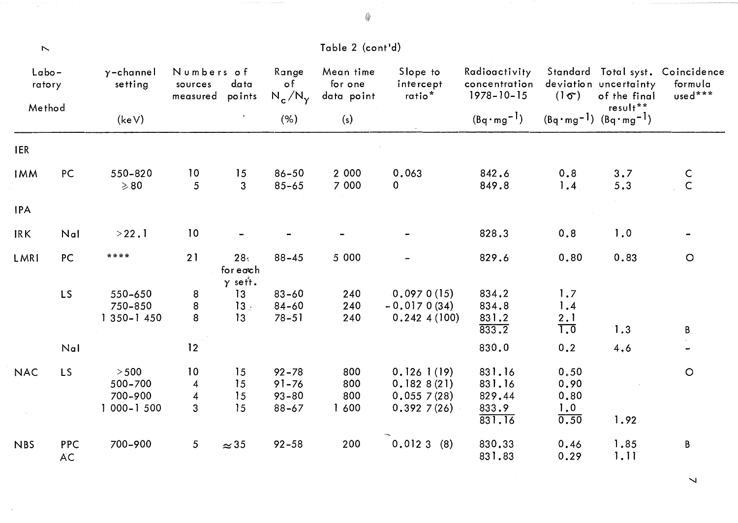| $\boldsymbol{\mathrel{N}}$   |                  |                                               |                                                          |                                   |                                                  | Table 2 (cont'd)                   |                                                      |                                                    |                                     |                                                   |                                                        |
|------------------------------|------------------|-----------------------------------------------|----------------------------------------------------------|-----------------------------------|--------------------------------------------------|------------------------------------|------------------------------------------------------|----------------------------------------------------|-------------------------------------|---------------------------------------------------|--------------------------------------------------------|
| $L$ abo-<br>ratory<br>Method |                  | $\gamma$ -channel<br>setting                  | Numbers of<br>sources<br>measured                        | data<br>points                    | Range<br>$\circ$ f<br>$N_c/N_{\gamma}$           | Mean time<br>for one<br>data point | Slope to<br>intercept<br>ratio <sup>*</sup>          | Radioactivity<br>concentration<br>$1978 - 10 - 15$ | $(1\sigma)$                         | deviation uncertainty<br>of the final<br>result** | Standard Total syst. Coincidence<br>formula<br>used*** |
|                              |                  | (keV)                                         |                                                          |                                   | (% )                                             | (s)                                |                                                      | $(Bq \cdot mg^{-1})$                               |                                     | $(Bq \cdot mg^{-1})$ $(Bq \cdot mg^{-1})$         |                                                        |
| <b>IER</b>                   |                  |                                               |                                                          |                                   |                                                  |                                    |                                                      |                                                    |                                     |                                                   |                                                        |
| <b>IMM</b>                   | PC               | 550-820<br>$\geqslant 80$                     | 10<br>5                                                  | 15<br>$\overline{3}$              | $86 - 50$<br>$85 - 65$                           | 2 000<br>7 000                     | 0.063<br>$\mathbf{0}$                                | 842.6<br>849.8                                     | 0.8<br>1.4                          | 3.7<br>5.3                                        | $\frac{C}{C}$                                          |
| <b>IPA</b>                   |                  |                                               |                                                          |                                   |                                                  |                                    |                                                      |                                                    |                                     |                                                   |                                                        |
| <b>IRK</b>                   | Nal              | >22.1                                         | 10                                                       |                                   |                                                  |                                    |                                                      | 828.3                                              | 0.8                                 | 1.0                                               |                                                        |
| LMRI                         | PC               | ****                                          | 21                                                       | 28.<br>for each<br>$\gamma$ sett. | $88 - 45$                                        | 5 000                              |                                                      | 829.6                                              | 0.80                                | 0.83                                              | $\bigcirc$                                             |
|                              | <b>LS</b>        | 550-650<br>750-850<br>$1350 - 1450$           | $\bf 8$<br>8<br>8                                        | 13<br>$13 -$<br>13                | $83 - 60$<br>84-60<br>$78 - 51$                  | 240<br>240<br>240                  | 0.0970(15)<br>$-0.0170(34)$<br>0.2424(100)           | 834.2<br>834.8<br>831.2<br>833.2                   | 1.7<br>1.4<br>$\frac{2.1}{1.0}$     | 1.3                                               | B                                                      |
|                              | Nal              |                                               | 12                                                       |                                   |                                                  |                                    |                                                      | 830.0                                              | 0.2                                 | 4.6                                               |                                                        |
| <b>NAC</b>                   | <b>LS</b>        | $>500$<br>500-700<br>700-900<br>$1000 - 1500$ | 10<br>$\overline{4}$<br>$\overline{4}$<br>$\overline{3}$ | 15<br>15<br>15<br>15              | $92 - 78$<br>$91 - 76$<br>$93 - 80$<br>$88 - 67$ | 800<br>800<br>800<br>1 600         | 0.1261(19)<br>0.1828(21)<br>0.0557(28)<br>0.3927(26) | 831.16<br>831.16<br>829.44<br>833.9<br>831.16      | 0.50<br>0.90<br>0.80<br>1.0<br>0.50 | 1.92                                              | $\circ$                                                |
| <b>NBS</b>                   | PPC<br><b>AC</b> | 700-900                                       | 5 <sup>5</sup>                                           | $\approx$ 35                      | $92 - 58$                                        | 200                                | 0.0123(8)                                            | 830.33<br>831.83                                   | 0.46<br>0.29                        | 1.85<br>1.11                                      | B                                                      |

 $\overline{\phantom{a}}$ 

~~

 $\hat{\mathcal{A}}$ 

 $\sim$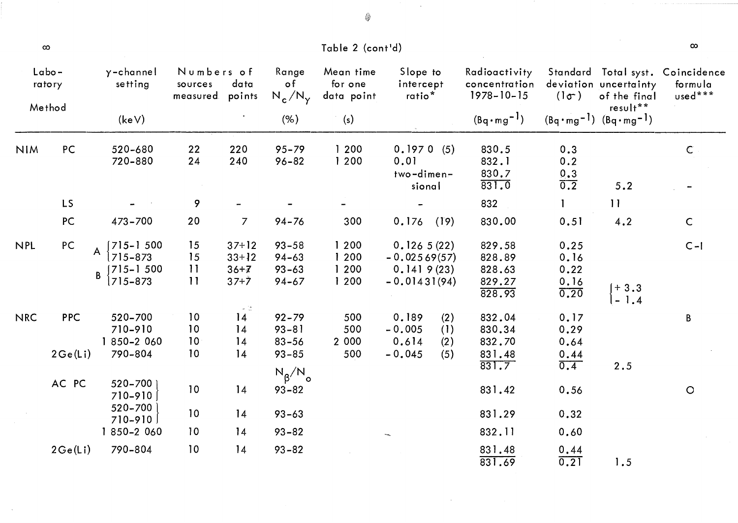|            | $\infty$               |                                                              |                                   |                                              |                                                  | Table 2 (cont'd)                   |                                                                    |                                                    |                                             |                                                               | $\infty$                          |
|------------|------------------------|--------------------------------------------------------------|-----------------------------------|----------------------------------------------|--------------------------------------------------|------------------------------------|--------------------------------------------------------------------|----------------------------------------------------|---------------------------------------------|---------------------------------------------------------------|-----------------------------------|
|            | $L$ abo-<br>ratory     | $\gamma$ -channel<br>setting                                 | Numbers of<br>sources<br>measured | data<br>points                               | Range<br>o f<br>$N_c/N_\gamma$                   | Mean time<br>for one<br>data point | Slope to<br>intercept<br>ratio <sup>*</sup>                        | Radioactivity<br>concentration<br>$1978 - 10 - 15$ | $(\mathsf{I}\sigma)$                        | Standard Total syst.<br>deviation uncertainty<br>of the final | Coincidence<br>formula<br>used*** |
|            | Method                 | (keV)                                                        |                                   |                                              | (% )                                             | (s)                                |                                                                    | $(Bq \cdot mg^{-1})$                               |                                             | $result**$<br>$(Bq \cdot mg^{-1})$ $(Bq \cdot mg^{-1})$       |                                   |
| <b>NIM</b> | PC                     | 520-680<br>720-880                                           | 22<br>24                          | 220<br>240                                   | $95 - 79$<br>$96 - 82$                           | 1200<br>1 200                      | 0.1970(5)<br>0.01<br>two-dimen-<br>sional                          | 830.5<br>832.1<br>830.7<br>831.0                   | 0.3<br>0.2<br>$\frac{0.3}{0.2}$             | 5.2                                                           | $\mathsf{C}$                      |
|            | <b>LS</b>              |                                                              | 9                                 |                                              |                                                  |                                    |                                                                    | 832                                                | $\mathbf{I}$                                | 11                                                            |                                   |
|            | PC                     | 473-700                                                      | 20                                | $\overline{7}$                               | $94 - 76$                                        | 300                                | 0.176<br>(19)                                                      | 830.00                                             | 0.51                                        | 4.2                                                           | $\mathsf C$                       |
| <b>NPL</b> | PC                     | $[7]5 - 1500$<br>A<br>715-873<br>$\int$ 715-1 500<br>715-873 | 15<br>15<br>$\overline{11}$<br>11 | $37 + 12$<br>$33+12$<br>$36 + 7$<br>$37 + 7$ | $93 - 58$<br>$94 - 63$<br>$93 - 63$<br>$94 - 67$ | 1200<br>1 200<br>1200<br>1 200     | 0.1265(22)<br>$-0.02569(57)$<br>0.1419(23)<br>$-0.01431(94)$       | 829.58<br>828.89<br>828.63<br>829.27<br>828.93     | 0.25<br>0.16<br>0.22<br>$\frac{0.16}{0.20}$ | $\begin{bmatrix} +3.3 \\ -1.4 \end{bmatrix}$                  | $C - 1$                           |
| <b>NRC</b> | <b>PPC</b><br>2 Ge(Li) | 520-700<br>710-910<br>1 850-2 060<br>790-804                 | 10<br>10<br>10<br>10              | $\sim 12$<br>14<br>14<br>14<br>14            | $92 - 79$<br>$93 - 81$<br>$83 - 56$<br>$93 - 85$ | 500<br>500<br>2 0 0 0<br>500       | 0.189<br>(2)<br>$-0.005$<br>(1)<br>0.614<br>(2)<br>$-0.045$<br>(5) | 832.04<br>830.34<br>832.70<br>831.48<br>831.7      | 0.17<br>0.29<br>0.64<br>0.44<br>0.4         | 2.5                                                           | B                                 |
|            | AC PC                  | 520-700<br>710-910                                           | 10                                | 14                                           | $N_{\beta}/N_{\text{o}}$<br>$93 - 82$            |                                    |                                                                    | 831.42                                             | 0.56                                        |                                                               | $\circ$                           |
|            |                        | 520-700<br>$710 - 910$                                       | 10                                | 14                                           | $93 - 63$                                        |                                    |                                                                    | 831.29                                             | 0.32                                        |                                                               |                                   |
|            |                        | 1850-2060                                                    | 10                                | 14                                           | $93 - 82$                                        |                                    |                                                                    | 832.11                                             | 0.60                                        |                                                               |                                   |
|            | 2Ge(L)                 | 790-804                                                      | 10                                | 14                                           | $93 - 82$                                        |                                    |                                                                    | 831.48<br>831.69                                   | $\frac{0.44}{0.21}$                         | 1.5                                                           |                                   |

 $\sim$ 

◈

 $\sim 10^7$ 

 $\mathcal{A}$ 

والمتمرة والرودة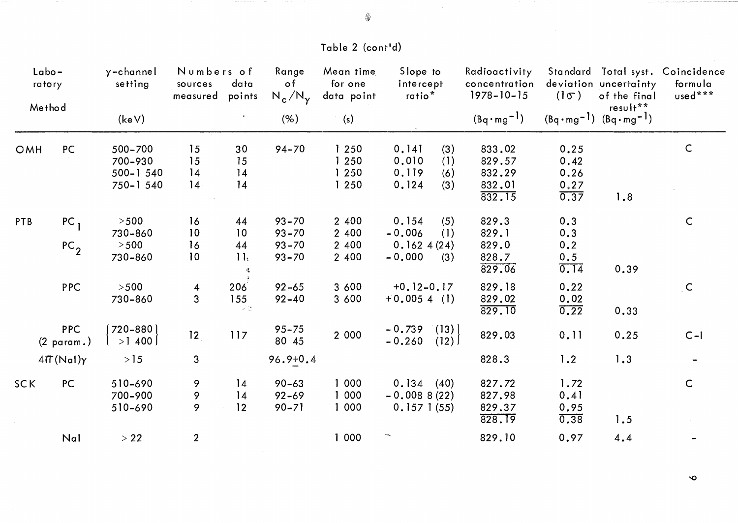## Table 2 (cont'd)

| $Labo-$<br>ratory<br>Method | $\gamma$ -channel<br>setting       | Numbers of<br>sources<br>measured          | data<br>points       | Range<br>$\circ$ f<br>$N_c/N_v$    | Mean time<br>for one<br>data point  | Slope to<br>intercept<br>ratio <sup>*</sup> | Radioactivity<br>concentration<br>$1978 - 10 - 15$                | $(1\sigma)$                                    | deviation uncertainty<br>of the final | Standard Total syst. Coincidence<br>formula<br>used***  |               |
|-----------------------------|------------------------------------|--------------------------------------------|----------------------|------------------------------------|-------------------------------------|---------------------------------------------|-------------------------------------------------------------------|------------------------------------------------|---------------------------------------|---------------------------------------------------------|---------------|
|                             |                                    | (keV)                                      |                      |                                    | (% )                                | (s)                                         |                                                                   | $(Bq \cdot mg^{-1})$                           |                                       | $result**$<br>$(Bq \cdot mg^{-1})$ $(Bq \cdot mg^{-1})$ |               |
| OMH                         | PC                                 | 500-700<br>700-930<br>500-1540<br>750-1540 | 15<br>15<br>14<br>14 | 30<br>15<br>14<br>14               | $94 - 70$                           | 1250<br>1 2 5 0<br>1250<br>1250             | 0.141<br>(3)<br>0.010<br>(1)<br>0.119<br>(6)<br>(3)<br>0.124      | 833.02<br>829.57<br>832.29<br>832.01<br>832.15 | 0.25<br>0.42<br>0.26<br>0.27<br>0.37  | 1.8                                                     | $\mathsf C$   |
| PTB                         | PC <sub>1</sub><br>PC <sub>2</sub> | $>500$<br>730-860<br>$>500$                | 16<br>10<br>16       | 44<br>10<br>44                     | $93 - 70$<br>$93 - 70$<br>$93 - 70$ | 2 400<br>2 400<br>2 400                     | 0.154<br>(5)<br>(1)<br>$-0.006$<br>0.1624(24)                     | 829.3<br>829.1<br>829.0                        | 0.3<br>0.3<br>0.2                     |                                                         | $\mathsf{C}$  |
|                             |                                    | 730-860                                    | 10                   | 11 <sub>1</sub>                    | $93 - 70$                           | 2 400                                       | $-0.000$<br>(3)                                                   | 828.7<br>829.06                                | 0.5<br>0.14                           | 0.39                                                    |               |
|                             | <b>PPC</b>                         | $>500$<br>730-860                          | 4<br>$\overline{3}$  | 206<br>155<br>$\omega^{-1} \omega$ | $92 - 65$<br>$92 - 40$              | 3 600<br>3 600                              | $+0.12 - 0.17$<br>$+0.0054$ (1)                                   | 829.18<br>829.02<br>829.10                     | 0.22<br>0.02<br>0.22                  | 0.33                                                    | $\mathcal{C}$ |
|                             | <b>PPC</b><br>$(2 \text{ param.})$ | 720-880<br>>1,400                          | 12                   | 117                                | $95 - 75$<br>80 45                  | 2 000                                       | $\left[ \left( 13\right) \right]$<br>$-0.739$<br>(12)<br>$-0.260$ | 829.03                                         | 0.11                                  | 0.25                                                    | $C-I$         |
|                             | $4\pi$ (Nal) $\gamma$              | $>15$                                      | 3                    |                                    | $96.9 + 0.4$                        |                                             |                                                                   | 828.3                                          | 1.2                                   | 1.3                                                     |               |
| <b>SCK</b>                  | PC                                 | 510-690<br>700-900<br>510-690              | 9<br>9<br>9          | 14<br>14<br>12                     | $90 - 63$<br>$92 - 69$<br>$90 - 71$ | 000<br>000<br>1 000                         | 0.134(40)<br>$-0.0088(22)$<br>0.1571(55)                          | 827.72<br>827.98<br>829.37<br>828.19           | 1.72<br>0.41<br>0.95<br>0.38          | 1.5                                                     | $\mathsf{C}$  |
|                             | Nal                                | $>22$                                      | $\overline{2}$       |                                    |                                     | 1 000                                       |                                                                   | 829.10                                         | 0.97                                  | 4.4                                                     |               |

 $\ddot{\mathbf{o}}$ 

◈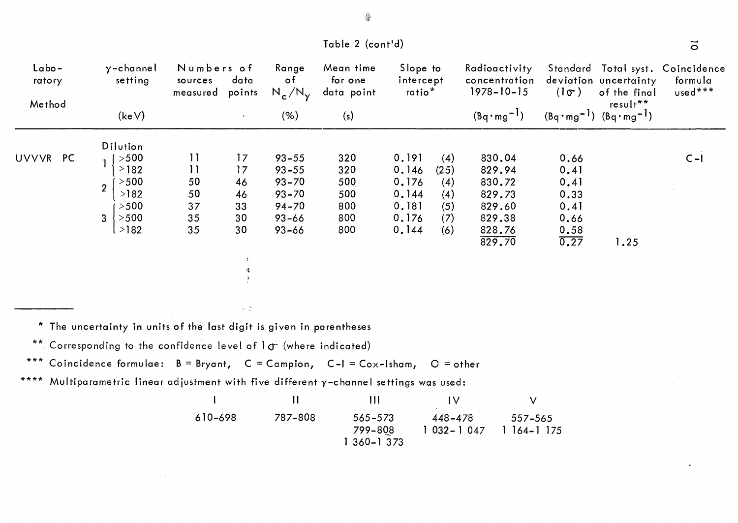| Labo-<br>ratory |                | $y$ -channel<br>setting | Numbers of<br>sources<br>measured | data<br>points | Range<br>o f<br>$N_c/N_\gamma$ | Mean time<br>for one<br>data point | Slope to<br>intercept<br>ratio <sup>*</sup> |      | Radioactivity<br>concentration<br>$1978 - 10 - 15$ | $(\mathbf{1}\sigma)$ | deviation uncertainty<br>of the final                   | Standard Total syst. Coincidence<br>formula<br>used*** |
|-----------------|----------------|-------------------------|-----------------------------------|----------------|--------------------------------|------------------------------------|---------------------------------------------|------|----------------------------------------------------|----------------------|---------------------------------------------------------|--------------------------------------------------------|
| Method          |                | (keV)                   |                                   | $\bullet$ .    | (% )                           | (s)                                |                                             |      | $(Bq \cdot mg^{-1})$                               |                      | $result**$<br>$(Bq \cdot mg^{-1})$ $(Bq \cdot mg^{-1})$ |                                                        |
|                 |                | Dilution                |                                   |                |                                |                                    |                                             |      |                                                    |                      |                                                         |                                                        |
| UVVVR<br>PC     |                | $>500$                  | $\overline{11}$                   | 17             | $93 - 55$                      | 320                                | 0.191                                       | (4)  | 830.04                                             | 0.66                 |                                                         | $C - I$                                                |
|                 |                | >182                    | $\overline{11}$                   | 17             | $93 - 55$                      | 320                                | 0.146                                       | (25) | 829.94                                             | 0.41                 |                                                         |                                                        |
|                 | $\overline{2}$ | $>500$                  | 50                                | 46             | $93 - 70$                      | 500                                | 0.176                                       | (4)  | 830.72                                             | 0.41                 |                                                         |                                                        |
|                 |                | >182                    | 50                                | 46             | $93 - 70$                      | 500                                | 0.144                                       | (4)  | 829.73                                             | 0.33                 |                                                         |                                                        |
|                 |                | $>500$                  | 37                                | 33             | $94 - 70$                      | 800                                | 0.181                                       | (5)  | 829.60                                             | 0.41                 |                                                         |                                                        |
|                 | 3              | >500                    | 35                                | 30             | $93 - 66$                      | 800                                | 0.176                                       | (7)  | 829.38                                             | 0.66                 |                                                         |                                                        |
|                 |                | >182                    | 35                                | 30             | $93 - 66$                      | 800                                | 0.144                                       | (6)  | 828.76                                             | 0.58                 |                                                         |                                                        |
|                 |                |                         |                                   |                |                                |                                    |                                             |      | 829.70                                             | 0.27                 | 1.25                                                    |                                                        |
|                 |                |                         |                                   |                |                                |                                    |                                             |      |                                                    |                      |                                                         |                                                        |
|                 |                |                         |                                   |                |                                |                                    |                                             |      |                                                    |                      |                                                         |                                                        |
|                 |                |                         |                                   |                |                                |                                    |                                             |      |                                                    |                      |                                                         |                                                        |

\* The uncertainty in units of the last digit is given in parentheses

\*\* Corresponding to the confidence level of  $1\sigma$  (where indicated)

\*\*\* Coincidence formulae:  $B = Bryant$ ,  $C = Campion$ ,  $C-I = Cox-Isham$ ,  $O = other$ 

 $\alpha$  (  $\frac{1}{2}$ 

\*\*\*\* Multiparametric linear adjustment with five different y-channel settings was used:

610-698 11 787-808 III 565-573 799-8Q8 1 360-1 373 IV 448-478 1 032- 1 047 V 557-565 1 164-1 175

Table 2 (cont'd)

 $\vec{0}$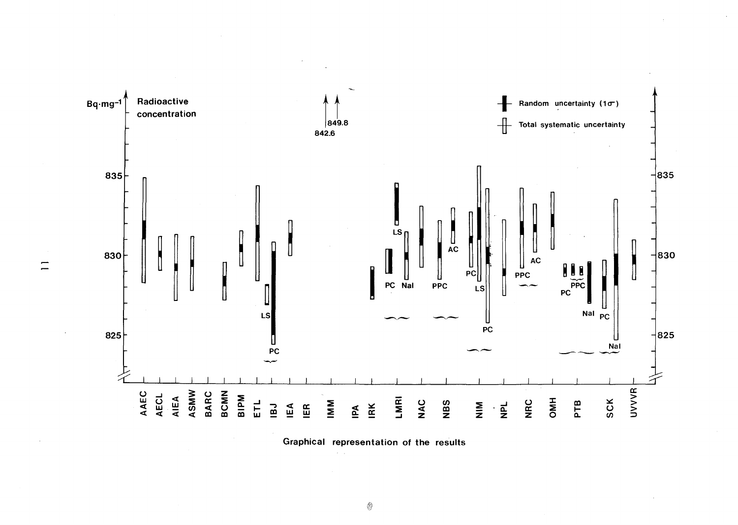

Graphical representation of the results

 $\equiv$ 

 $\begin{picture}(20,20) \put(0,0){\line(1,0){10}} \put(15,0){\line(1,0){10}} \put(15,0){\line(1,0){10}} \put(15,0){\line(1,0){10}} \put(15,0){\line(1,0){10}} \put(15,0){\line(1,0){10}} \put(15,0){\line(1,0){10}} \put(15,0){\line(1,0){10}} \put(15,0){\line(1,0){10}} \put(15,0){\line(1,0){10}} \put(15,0){\line(1,0){10}} \put(15,0){\line(1$